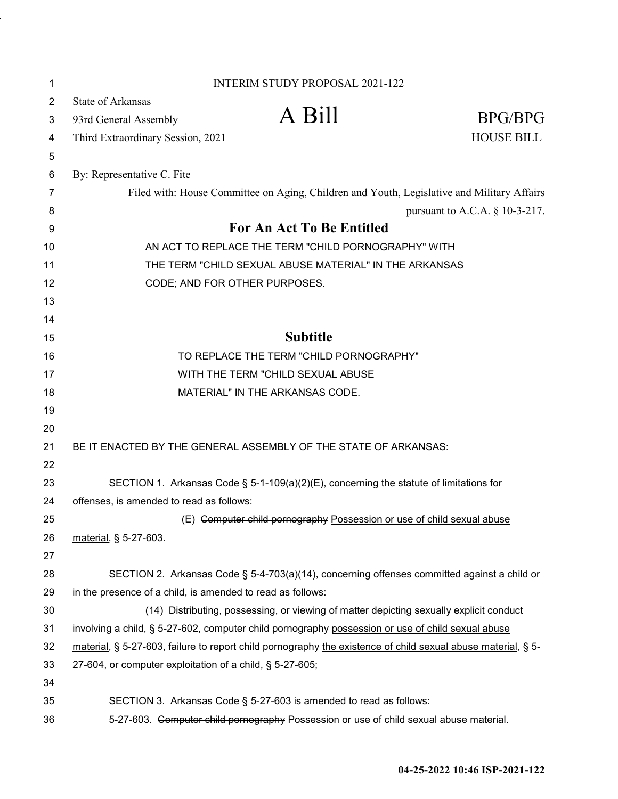| 1              |                                                                                                              | <b>INTERIM STUDY PROPOSAL 2021-122</b>                                                      |                                   |
|----------------|--------------------------------------------------------------------------------------------------------------|---------------------------------------------------------------------------------------------|-----------------------------------|
| $\overline{2}$ | <b>State of Arkansas</b>                                                                                     |                                                                                             |                                   |
| 3              | 93rd General Assembly                                                                                        | A Bill                                                                                      | <b>BPG/BPG</b>                    |
| 4              | Third Extraordinary Session, 2021                                                                            |                                                                                             | <b>HOUSE BILL</b>                 |
| 5              |                                                                                                              |                                                                                             |                                   |
| 6              | By: Representative C. Fite                                                                                   |                                                                                             |                                   |
| 7              |                                                                                                              | Filed with: House Committee on Aging, Children and Youth, Legislative and Military Affairs  |                                   |
| 8              |                                                                                                              |                                                                                             | pursuant to A.C.A. $\S$ 10-3-217. |
| 9              |                                                                                                              | <b>For An Act To Be Entitled</b>                                                            |                                   |
| 10             |                                                                                                              | AN ACT TO REPLACE THE TERM "CHILD PORNOGRAPHY" WITH                                         |                                   |
| 11             |                                                                                                              | THE TERM "CHILD SEXUAL ABUSE MATERIAL" IN THE ARKANSAS                                      |                                   |
| 12             | CODE; AND FOR OTHER PURPOSES.                                                                                |                                                                                             |                                   |
| 13             |                                                                                                              |                                                                                             |                                   |
| 14             |                                                                                                              |                                                                                             |                                   |
| 15             |                                                                                                              | <b>Subtitle</b>                                                                             |                                   |
| 16             |                                                                                                              | TO REPLACE THE TERM "CHILD PORNOGRAPHY"                                                     |                                   |
| 17             |                                                                                                              | WITH THE TERM "CHILD SEXUAL ABUSE                                                           |                                   |
| 18             |                                                                                                              | MATERIAL" IN THE ARKANSAS CODE.                                                             |                                   |
| 19             |                                                                                                              |                                                                                             |                                   |
| 20             |                                                                                                              |                                                                                             |                                   |
| 21             | BE IT ENACTED BY THE GENERAL ASSEMBLY OF THE STATE OF ARKANSAS:                                              |                                                                                             |                                   |
| 22             |                                                                                                              |                                                                                             |                                   |
| 23             |                                                                                                              | SECTION 1. Arkansas Code § 5-1-109(a)(2)(E), concerning the statute of limitations for      |                                   |
| 24             | offenses, is amended to read as follows:                                                                     |                                                                                             |                                   |
| 25             |                                                                                                              | (E) Computer child pornography Possession or use of child sexual abuse                      |                                   |
| 26             | material, § 5-27-603.                                                                                        |                                                                                             |                                   |
| 27             |                                                                                                              |                                                                                             |                                   |
| 28             |                                                                                                              | SECTION 2. Arkansas Code § 5-4-703(a)(14), concerning offenses committed against a child or |                                   |
| 29             | in the presence of a child, is amended to read as follows:                                                   |                                                                                             |                                   |
| 30             |                                                                                                              | (14) Distributing, possessing, or viewing of matter depicting sexually explicit conduct     |                                   |
| 31             | involving a child, § 5-27-602, computer child pornography possession or use of child sexual abuse            |                                                                                             |                                   |
| 32             | material, § 5-27-603, failure to report child pornography the existence of child sexual abuse material, § 5- |                                                                                             |                                   |
| 33             | 27-604, or computer exploitation of a child, § 5-27-605;                                                     |                                                                                             |                                   |
| 34             |                                                                                                              |                                                                                             |                                   |
| 35             |                                                                                                              | SECTION 3. Arkansas Code § 5-27-603 is amended to read as follows:                          |                                   |
| 36             |                                                                                                              | 5-27-603. Computer child pornography Possession or use of child sexual abuse material.      |                                   |

l,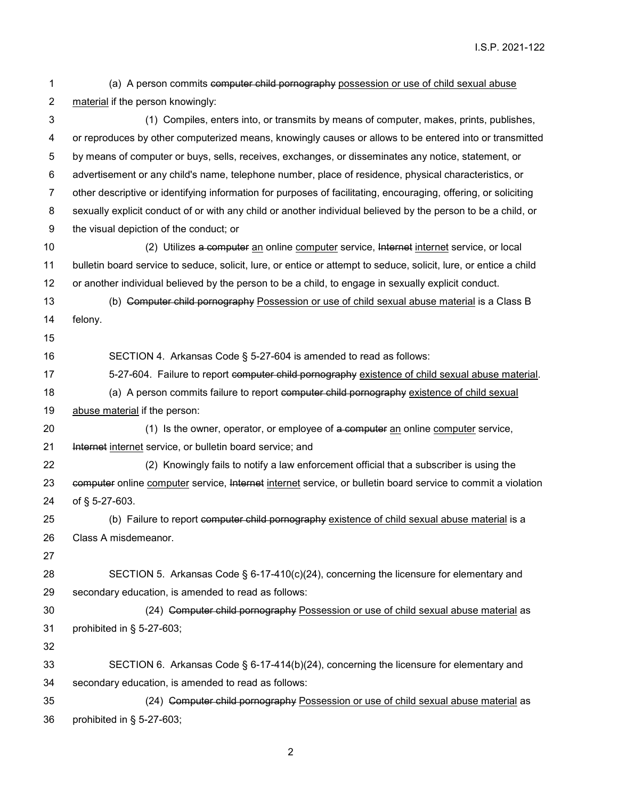(a) A person commits computer child pornography possession or use of child sexual abuse material if the person knowingly: (1) Compiles, enters into, or transmits by means of computer, makes, prints, publishes, or reproduces by other computerized means, knowingly causes or allows to be entered into or transmitted by means of computer or buys, sells, receives, exchanges, or disseminates any notice, statement, or advertisement or any child's name, telephone number, place of residence, physical characteristics, or other descriptive or identifying information for purposes of facilitating, encouraging, offering, or soliciting sexually explicit conduct of or with any child or another individual believed by the person to be a child, or the visual depiction of the conduct; or 10 (2) Utilizes a computer an online computer service, Internet internet service, or local bulletin board service to seduce, solicit, lure, or entice or attempt to seduce, solicit, lure, or entice a child or another individual believed by the person to be a child, to engage in sexually explicit conduct. 13 (b) Computer child pornography Possession or use of child sexual abuse material is a Class B felony. SECTION 4. Arkansas Code § 5-27-604 is amended to read as follows: 17 5-27-604. Failure to report computer child pornography existence of child sexual abuse material. 18 (a) A person commits failure to report computer child pornography existence of child sexual abuse material if the person: 20 (1) Is the owner, operator, or employee of a computer an online computer service, 21 Internet internet service, or bulletin board service; and (2) Knowingly fails to notify a law enforcement official that a subscriber is using the 23 computer online computer service, Internet internet service, or bulletin board service to commit a violation of § 5-27-603. 25 (b) Failure to report computer child pornography existence of child sexual abuse material is a Class A misdemeanor. SECTION 5. Arkansas Code § 6-17-410(c)(24), concerning the licensure for elementary and secondary education, is amended to read as follows: (24) Computer child pornography Possession or use of child sexual abuse material as prohibited in § 5-27-603; SECTION 6. Arkansas Code § 6-17-414(b)(24), concerning the licensure for elementary and secondary education, is amended to read as follows: 35 (24) Computer child pornography Possession or use of child sexual abuse material as prohibited in § 5-27-603;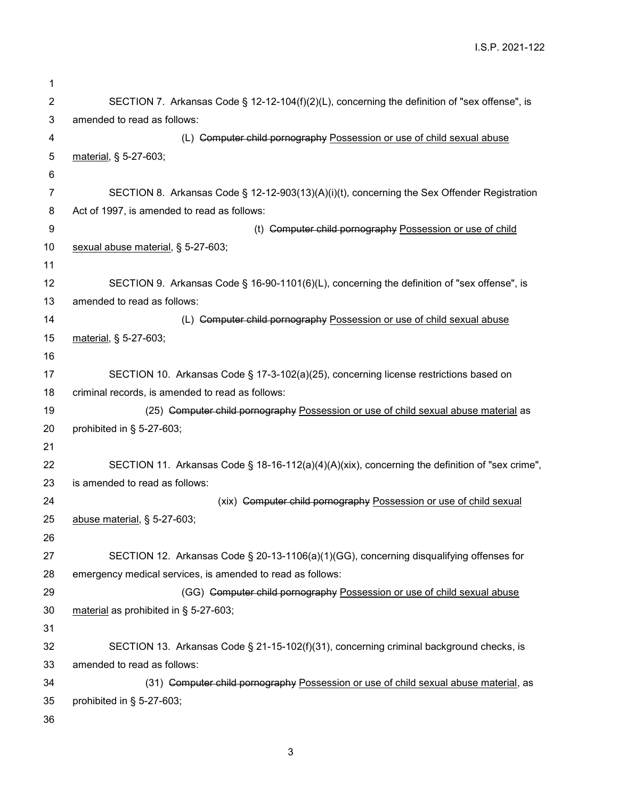I.S.P. 2021-122

| 1              |                                                                                                                      |  |  |
|----------------|----------------------------------------------------------------------------------------------------------------------|--|--|
| $\overline{2}$ | SECTION 7. Arkansas Code § 12-12-104(f)(2)(L), concerning the definition of "sex offense", is                        |  |  |
| 3              | amended to read as follows:                                                                                          |  |  |
| 4              | (L) Computer child pornography Possession or use of child sexual abuse                                               |  |  |
| 5              | material, § 5-27-603;                                                                                                |  |  |
| 6              |                                                                                                                      |  |  |
| 7              | SECTION 8. Arkansas Code § 12-12-903(13)(A)(i)(t), concerning the Sex Offender Registration                          |  |  |
| 8              | Act of 1997, is amended to read as follows:                                                                          |  |  |
| 9              | (t) Computer child pornography Possession or use of child                                                            |  |  |
| 10             | sexual abuse material, § 5-27-603;                                                                                   |  |  |
| 11             |                                                                                                                      |  |  |
| 12             | SECTION 9. Arkansas Code § 16-90-1101(6)(L), concerning the definition of "sex offense", is                          |  |  |
| 13             | amended to read as follows:                                                                                          |  |  |
| 14             | (L) Computer child pornography Possession or use of child sexual abuse                                               |  |  |
| 15             | material, § 5-27-603;                                                                                                |  |  |
| 16             |                                                                                                                      |  |  |
| 17             | SECTION 10. Arkansas Code § 17-3-102(a)(25), concerning license restrictions based on                                |  |  |
| 18             | criminal records, is amended to read as follows:                                                                     |  |  |
| 19             | (25) Computer child pornography Possession or use of child sexual abuse material as                                  |  |  |
| 20             | prohibited in $\S$ 5-27-603;                                                                                         |  |  |
| 21             |                                                                                                                      |  |  |
| 22             | SECTION 11. Arkansas Code § 18-16-112(a)(4)(A)(xix), concerning the definition of "sex crime",                       |  |  |
| 23             | is amended to read as follows:                                                                                       |  |  |
| 24             | (xix) Computer child pornography Possession or use of child sexual                                                   |  |  |
| 25             | abuse material, § 5-27-603;                                                                                          |  |  |
| 26             |                                                                                                                      |  |  |
| 27             | SECTION 12. Arkansas Code § 20-13-1106(a)(1)(GG), concerning disqualifying offenses for                              |  |  |
| 28             | emergency medical services, is amended to read as follows:                                                           |  |  |
| 29             | (GG) Computer child pornography Possession or use of child sexual abuse                                              |  |  |
| 30             | material as prohibited in § 5-27-603;                                                                                |  |  |
| 31             |                                                                                                                      |  |  |
| 32             | SECTION 13. Arkansas Code § 21-15-102(f)(31), concerning criminal background checks, is                              |  |  |
| 33<br>34       | amended to read as follows:                                                                                          |  |  |
| 35             | (31) Computer child pornography Possession or use of child sexual abuse material, as<br>prohibited in $\S$ 5-27-603; |  |  |
| 36             |                                                                                                                      |  |  |
|                |                                                                                                                      |  |  |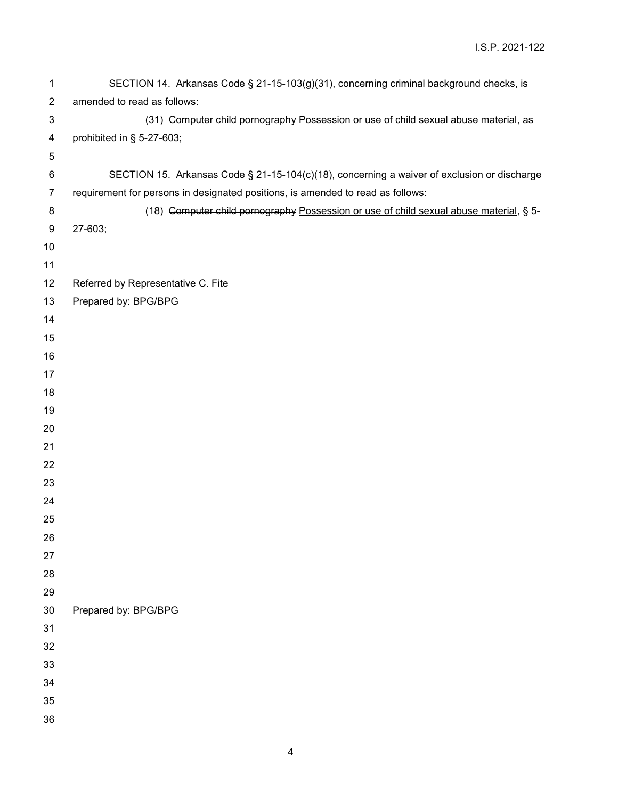| 1              | SECTION 14. Arkansas Code § 21-15-103(g)(31), concerning criminal background checks, is     |
|----------------|---------------------------------------------------------------------------------------------|
| $\overline{c}$ | amended to read as follows:                                                                 |
| 3              | (31) Computer child pornography Possession or use of child sexual abuse material, as        |
| 4              | prohibited in § 5-27-603;                                                                   |
| 5              |                                                                                             |
| 6              | SECTION 15. Arkansas Code § 21-15-104(c)(18), concerning a waiver of exclusion or discharge |
| $\overline{7}$ | requirement for persons in designated positions, is amended to read as follows:             |
| 8              | (18) Computer child pornography Possession or use of child sexual abuse material, § 5-      |
| 9              | 27-603;                                                                                     |
| 10             |                                                                                             |
| 11             |                                                                                             |
| 12             | Referred by Representative C. Fite                                                          |
| 13             | Prepared by: BPG/BPG                                                                        |
| 14             |                                                                                             |
| 15             |                                                                                             |
| 16             |                                                                                             |
| 17             |                                                                                             |
| 18             |                                                                                             |
| 19             |                                                                                             |
| 20             |                                                                                             |
| 21             |                                                                                             |
| 22             |                                                                                             |
| 23             |                                                                                             |
| 24             |                                                                                             |
| 25             |                                                                                             |
| 26             |                                                                                             |
| 27             |                                                                                             |
| 28             |                                                                                             |
| 29<br>30       |                                                                                             |
| 31             | Prepared by: BPG/BPG                                                                        |
| 32             |                                                                                             |
| 33             |                                                                                             |
| 34             |                                                                                             |
| 35             |                                                                                             |
| 36             |                                                                                             |
|                |                                                                                             |